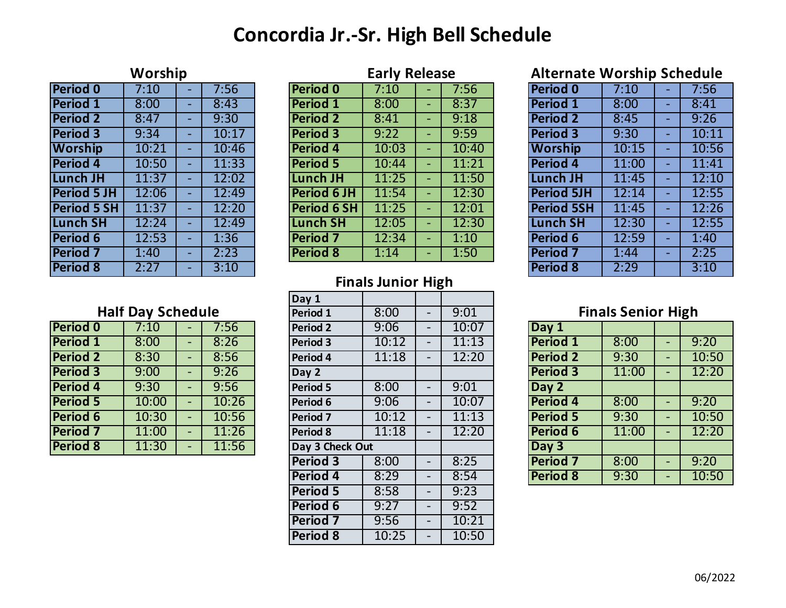# **Concordia Jr.-Sr. High Bell Schedule**

| Worship            |       |                          |       | <b>Early Release</b> |       |        |       | <b>Alternate Worship Schedule</b> |       |                          |      |
|--------------------|-------|--------------------------|-------|----------------------|-------|--------|-------|-----------------------------------|-------|--------------------------|------|
| Period 0           | 7:10  |                          | 7:56  | Period 0             | 7:10  |        | 7:56  | <b>Period 0</b>                   | 7:10  |                          | 7:56 |
| <b>Period 1</b>    | 8:00  |                          | 8:43  | Period 1             | 8:00  | $\sim$ | 8:37  | <b>Period 1</b>                   | 8:00  | ۰.                       | 8:41 |
| <b>Period 2</b>    | 8:47  |                          | 9:30  | <b>Period 2</b>      | 8:41  | $\sim$ | 9:18  | <b>Period 2</b>                   | 8:45  | ۰.                       | 9:26 |
| <b>Period 3</b>    | 9:34  |                          | 10:17 | <b>Period 3</b>      | 9:22  | ٠      | 9:59  | <b>Period 3</b>                   | 9:30  |                          | 10:1 |
| <b>Worship</b>     | 10:21 | $\overline{\phantom{a}}$ | 10:46 | <b>Period 4</b>      | 10:03 | ٠      | 10:40 | <b>Worship</b>                    | 10:15 | $\overline{\phantom{a}}$ | 10:5 |
| <b>Period 4</b>    | 10:50 |                          | 11:33 | <b>Period 5</b>      | 10:44 | ٠      | 11:21 | <b>Period 4</b>                   | 11:00 | ٠                        | 11:4 |
| <b>Lunch JH</b>    | 11:37 |                          | 12:02 | Lunch JH             | 11:25 | ٠      | 11:50 | <b>Lunch JH</b>                   | 11:45 | $\overline{\phantom{0}}$ | 12:1 |
| <b>Period 5 JH</b> | 12:06 |                          | 12:49 | <b>Period 6 JH</b>   | 11:54 | ٠      | 12:30 | <b>Period 5JH</b>                 | 12:14 | -                        | 12:5 |
| <b>Period 5 SH</b> | 11:37 |                          | 12:20 | <b>Period 6 SH</b>   | 11:25 | $\sim$ | 12:01 | <b>Period 5SH</b>                 | 11:45 | ۰.                       | 12:2 |
| <b>Lunch SH</b>    | 12:24 |                          | 12:49 | Lunch SH             | 12:05 | ٠      | 12:30 | <b>Lunch SH</b>                   | 12:30 | ۰.                       | 12:5 |
| <b>Period 6</b>    | 12:53 |                          | 1:36  | <b>Period 7</b>      | 12:34 | ٠      | 1:10  | <b>Period 6</b>                   | 12:59 | $\overline{\phantom{0}}$ | 1:40 |
| <b>Period 7</b>    | 1:40  |                          | 2:23  | <b>Period 8</b>      | 1:14  | ٠      | 1:50  | <b>Period 7</b>                   | 1:44  |                          | 2:25 |
| <b>Period 8</b>    | 2:27  |                          | 3:10  |                      |       |        |       | <b>Period 8</b>                   | 2:29  |                          | 3:10 |

| Period 0           | 7:10  | 7:56  | Period 0           | 7:10  | 7:56  | <b>Period 0</b>   | 7:10  | 7:56  |
|--------------------|-------|-------|--------------------|-------|-------|-------------------|-------|-------|
| <b>Period 1</b>    | 8:00  | 8:43  | <b>Period 1</b>    | 8:00  | 8:37  | <b>Period 1</b>   | 8:00  | 8:41  |
| <b>Period 2</b>    | 8:47  | 9:30  | <b>Period 2</b>    | 8:41  | 9:18  | <b>Period 2</b>   | 8:45  | 9:26  |
| <b>Period 3</b>    | 9:34  | 10:17 | <b>Period 3</b>    | 9:22  | 9:59  | <b>Period 3</b>   | 9:30  | 10:11 |
| <b>Worship</b>     | 10:21 | 10:46 | <b>Period 4</b>    | 10:03 | 10:40 | <b>Worship</b>    | 10:15 | 10:56 |
| <b>Period 4</b>    | 10:50 | 11:33 | <b>Period 5</b>    | 10:44 | 11:21 | <b>Period 4</b>   | 11:00 | 11:41 |
| <b>Lunch JH</b>    | 11:37 | 12:02 | Lunch JH           | 11:25 | 11:50 | Lunch JH          | 11:45 | 12:10 |
| <b>Period 5 JH</b> | 12:06 | 12:49 | <b>Period 6 JH</b> | 11:54 | 12:30 | <b>Period 5JH</b> | 12:14 | 12:55 |
| <b>Period 5 SH</b> | 11:37 | 12:20 | <b>Period 6 SH</b> | 11:25 | 12:01 | <b>Period 5SH</b> | 11:45 | 12:26 |
| <b>Lunch SH</b>    | 12:24 | 12:49 | <b>Lunch SH</b>    | 12:05 | 12:30 | Lunch SH          | 12:30 | 12:55 |
| <b>Period 6</b>    | 12:53 | 1:36  | <b>Period 7</b>    | 12:34 | 1:10  | <b>Period 6</b>   | 12:59 | 1:40  |
| <b>Period 7</b>    | 1:40  | 2:23  | <b>Period 8</b>    | 1:14  | 1:50  | <b>Period 7</b>   | 1:44  | 2:25  |
|                    |       |       |                    |       |       |                   |       |       |

## **Worship Early Release Alternate Worship Schedule**

| 71. JULI<br>שוויט וט<br><u>stilland</u><br><b>Period 0</b> |  |       |  |  |  |  |  |  |
|------------------------------------------------------------|--|-------|--|--|--|--|--|--|
| 7:10                                                       |  | 7:56  |  |  |  |  |  |  |
| 8:00                                                       |  | 8:41  |  |  |  |  |  |  |
| 8:45                                                       |  | 9:26  |  |  |  |  |  |  |
| 9:30                                                       |  | 10:11 |  |  |  |  |  |  |
| 10:15                                                      |  | 10:56 |  |  |  |  |  |  |
| 11:00                                                      |  | 11:41 |  |  |  |  |  |  |
| 11:45                                                      |  | 12:10 |  |  |  |  |  |  |
| 12:14                                                      |  | 12:55 |  |  |  |  |  |  |
| 11:45                                                      |  | 12:26 |  |  |  |  |  |  |
| 12:30                                                      |  | 12:55 |  |  |  |  |  |  |
| 12:59                                                      |  | 1:40  |  |  |  |  |  |  |
| 1:44                                                       |  | 2:25  |  |  |  |  |  |  |
| 2:29                                                       |  | 3:10  |  |  |  |  |  |  |
|                                                            |  |       |  |  |  |  |  |  |

## **Finals Junior High**

|  |  | <b>Half Day Schedule</b> |
|--|--|--------------------------|
|  |  |                          |

| <b>Period 0</b> | 7:10  | 7:56  |
|-----------------|-------|-------|
| <b>Period 1</b> | 8:00  | 8:26  |
| <b>Period 2</b> | 8:30  | 8:56  |
| <b>Period 3</b> | 9:00  | 9:26  |
| <b>Period 4</b> | 9:30  | 9:56  |
| <b>Period 5</b> | 10:00 | 10:26 |
| <b>Period 6</b> | 10:30 | 10:56 |
| <b>Period 7</b> | 11:00 | 11:26 |
| <b>Period 8</b> | 11:30 | 11:56 |

|                          |       |                          |          | Day 1               |                          |                          |                           |                 |       |                          |       |
|--------------------------|-------|--------------------------|----------|---------------------|--------------------------|--------------------------|---------------------------|-----------------|-------|--------------------------|-------|
| <b>Half Day Schedule</b> |       |                          | Period 1 | 8:00                | $\overline{\phantom{a}}$ | 9:01                     | <b>Finals Senior High</b> |                 |       |                          |       |
| <b>Period 0</b>          | 7:10  |                          | 7:56     | <b>Period 2</b>     | 9:06                     | $\overline{\phantom{a}}$ | 10:07                     | Day 1           |       |                          |       |
| <b>Period 1</b>          | 8:00  | $\overline{\phantom{a}}$ | 8:26     | <b>Period 3</b>     | 10:12                    | $\overline{\phantom{a}}$ | 11:13                     | <b>Period 1</b> | 8:00  | $\overline{\phantom{a}}$ | 9:20  |
| <b>Period 2</b>          | 8:30  | $\overline{\phantom{a}}$ | 8:56     | Period 4            | 11:18                    | $\overline{\phantom{a}}$ | 12:20                     | <b>Period 2</b> | 9:30  | $\overline{\phantom{a}}$ | 10:50 |
| <b>Period 3</b>          | 9:00  | ٠                        | 9:26     | Day 2               |                          |                          |                           | <b>Period 3</b> | 11:00 | $\overline{\phantom{a}}$ | 12:20 |
| <b>Period 4</b>          | 9:30  | $\overline{\phantom{0}}$ | 9:56     | <b>Period 5</b>     | 8:00                     | $\overline{\phantom{a}}$ | 9:01                      | Day 2           |       |                          |       |
| <b>Period 5</b>          | 10:00 | $\blacksquare$           | 10:26    | Period 6            | 9:06                     | $\overline{\phantom{a}}$ | 10:07                     | <b>Period 4</b> | 8:00  | $\overline{\phantom{a}}$ | 9:20  |
| <b>Period 6</b>          | 10:30 | $\blacksquare$           | 10:56    | Period <sub>7</sub> | 10:12                    | $\overline{\phantom{a}}$ | 11:13                     | <b>Period 5</b> | 9:30  | $\overline{\phantom{a}}$ | 10:50 |
| Period <sub>7</sub>      | 11:00 | ٠                        | 11:26    | Period 8            | 11:18                    | $\overline{\phantom{a}}$ | 12:20                     | <b>Period 6</b> | 11:00 | $\overline{\phantom{a}}$ | 12:20 |
| Period 8                 | 11:30 | ٠                        | 11:56    | Day 3 Check Out     |                          |                          |                           | Day 3           |       |                          |       |
|                          |       |                          |          | <b>Period 3</b>     | 8:00                     | $\overline{\phantom{a}}$ | 8:25                      | <b>Period 7</b> | 8:00  | $\overline{\phantom{a}}$ | 9:20  |
|                          |       |                          |          | Period 4            | 8:29                     | $\overline{\phantom{a}}$ | 8:54                      | <b>Period 8</b> | 9:30  | $\overline{\phantom{a}}$ | 10:50 |
|                          |       |                          |          | <b>Period 5</b>     | 8:58                     | $\overline{\phantom{a}}$ | 9:23                      |                 |       |                          |       |
|                          |       |                          |          | Period 6            | 9:27                     |                          | 9:52                      |                 |       |                          |       |
|                          |       |                          |          | <b>Period 7</b>     | 9:56                     | $\overline{\phantom{a}}$ | 10:21                     |                 |       |                          |       |
|                          |       |                          |          | <b>Period 8</b>     | 10:25                    | $\overline{\phantom{0}}$ | 10:50                     |                 |       |                          |       |
|                          |       |                          |          |                     |                          |                          |                           |                 |       |                          |       |

### **Finals Senior High**

| Day 1           |       |       |
|-----------------|-------|-------|
| <b>Period 1</b> | 8:00  | 9:20  |
| <b>Period 2</b> | 9:30  | 10:50 |
| <b>Period 3</b> | 11:00 | 12:20 |
| Day 2           |       |       |
| <b>Period 4</b> | 8:00  | 9:20  |
| <b>Period 5</b> | 9:30  | 10:50 |
| Period 6        | 11:00 | 12:20 |
| Day 3           |       |       |
| <b>Period 7</b> | 8:00  | 9:20  |
| <b>Period 8</b> | 9:30  | 10:50 |